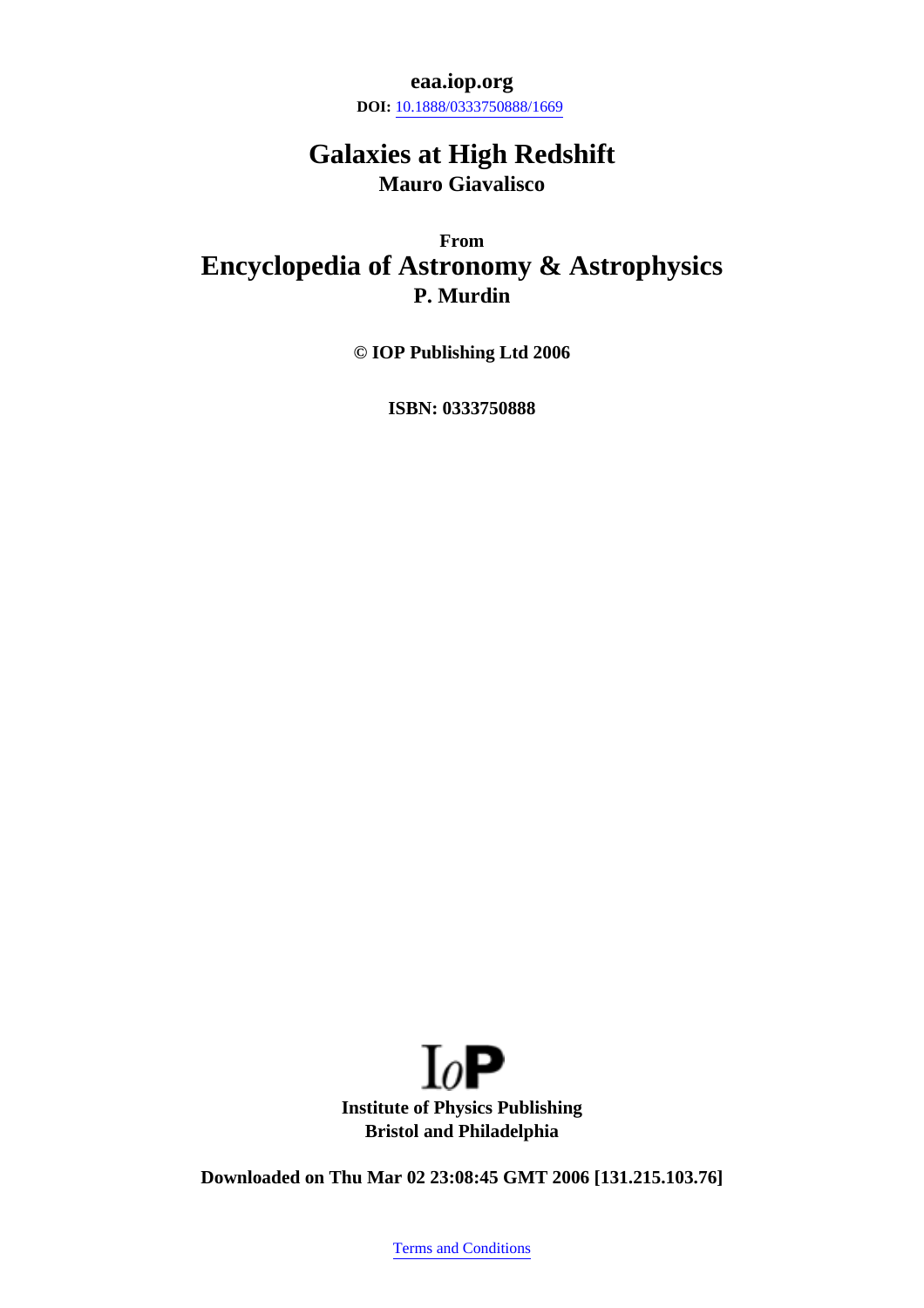**eaa.iop.org**

**DOI:** [10.1888/0333750888/1669](http://dx.doi.org/10.1888/0333750888/1669)

# **Galaxies at High Redshift Mauro Giavalisco**

**From Encyclopedia of Astronomy & Astrophysics P. Murdin**

**© IOP Publishing Ltd 2006**

**ISBN: 0333750888**



**Downloaded on Thu Mar 02 23:08:45 GMT 2006 [131.215.103.76]**

[Terms and Conditions](http://eaa.iop.org/index.cfm?action=about.terms)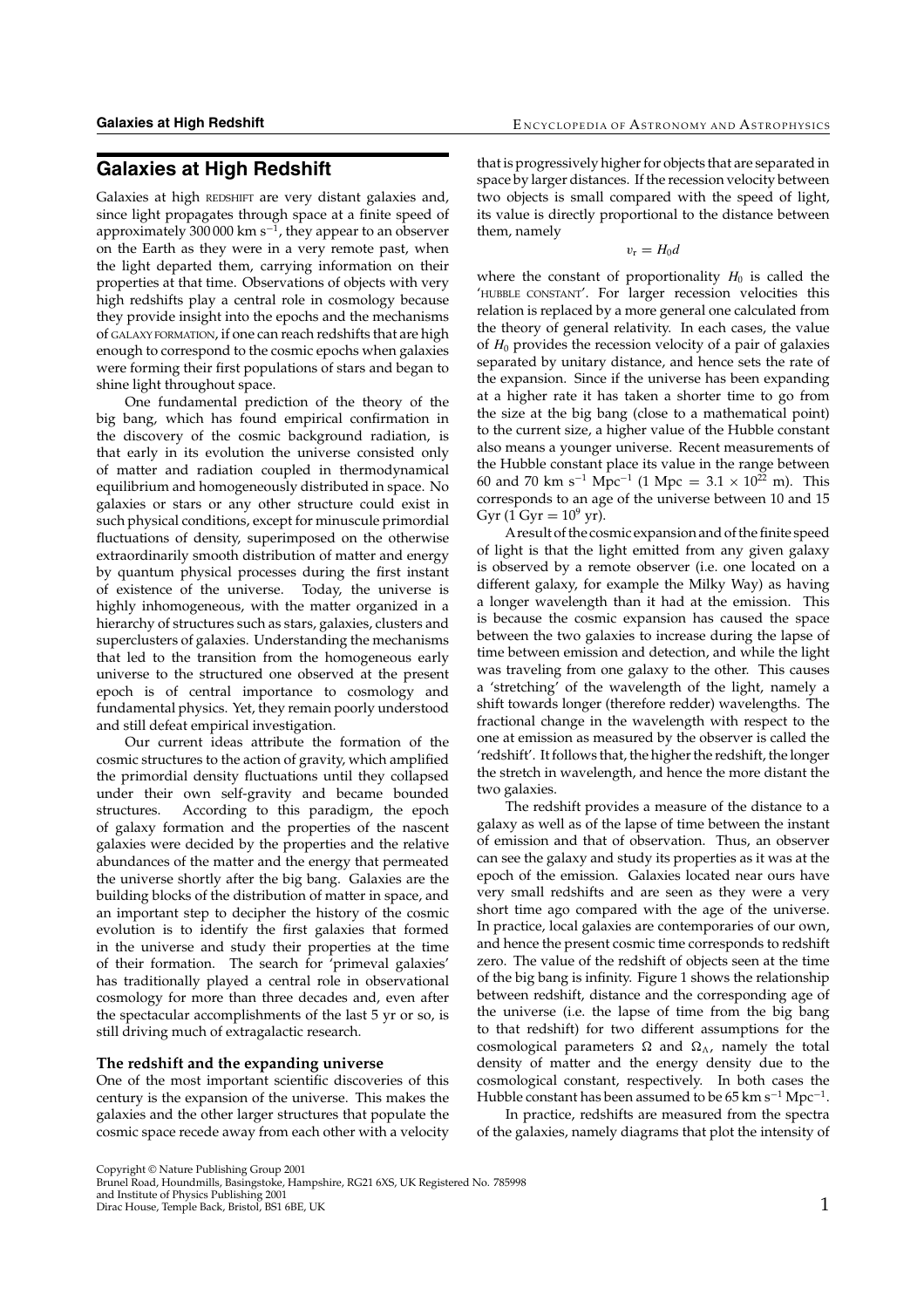# **Galaxies at High Redshift**

Galaxies at high REDSHIFT are very distant galaxies and, since light propagates through space at a finite speed of approximately 300 000 km s<sup> $-1$ </sup>, they appear to an observer on the Earth as they were in a very remote past, when the light departed them, carrying information on their properties at that time. Observations of objects with very high redshifts play a central role in cosmology because they provide insight into the epochs and the mechanisms of GALAXY FORMATION, if one can reach redshifts that are high enough to correspond to the cosmic epochs when galaxies were forming their first populations of stars and began to shine light throughout space.

One fundamental prediction of the theory of the big bang, which has found empirical confirmation in the discovery of the cosmic background radiation, is that early in its evolution the universe consisted only of matter and radiation coupled in thermodynamical equilibrium and homogeneously distributed in space. No galaxies or stars or any other structure could exist in such physical conditions, except for minuscule primordial fluctuations of density, superimposed on the otherwise extraordinarily smooth distribution of matter and energy by quantum physical processes during the first instant of existence of the universe. Today, the universe is highly inhomogeneous, with the matter organized in a hierarchy of structures such as stars, galaxies, clusters and superclusters of galaxies. Understanding the mechanisms that led to the transition from the homogeneous early universe to the structured one observed at the present epoch is of central importance to cosmology and fundamental physics. Yet, they remain poorly understood and still defeat empirical investigation.

Our current ideas attribute the formation of the cosmic structures to the action of gravity, which amplified the primordial density fluctuations until they collapsed under their own self-gravity and became bounded structures. According to this paradigm, the epoch of galaxy formation and the properties of the nascent galaxies were decided by the properties and the relative abundances of the matter and the energy that permeated the universe shortly after the big bang. Galaxies are the building blocks of the distribution of matter in space, and an important step to decipher the history of the cosmic evolution is to identify the first galaxies that formed in the universe and study their properties at the time of their formation. The search for 'primeval galaxies' has traditionally played a central role in observational cosmology for more than three decades and, even after the spectacular accomplishments of the last 5 yr or so, is still driving much of extragalactic research.

# **The redshift and the expanding universe**

One of the most important scientific discoveries of this century is the expansion of the universe. This makes the galaxies and the other larger structures that populate the cosmic space recede away from each other with a velocity that is progressively higher for objects that are separated in space by larger distances. If the recession velocity between two objects is small compared with the speed of light, its value is directly proportional to the distance between them, namely

 $v_{\rm r} = H_0 d$ 

where the constant of proportionality  $H_0$  is called the 'HUBBLE CONSTANT'. For larger recession velocities this relation is replaced by a more general one calculated from the theory of general relativity. In each cases, the value of  $H_0$  provides the recession velocity of a pair of galaxies separated by unitary distance, and hence sets the rate of the expansion. Since if the universe has been expanding at a higher rate it has taken a shorter time to go from the size at the big bang (close to a mathematical point) to the current size, a higher value of the Hubble constant also means a younger universe. Recent measurements of the Hubble constant place its value in the range between 60 and 70 km s<sup>-1</sup> Mpc<sup>-1</sup> (1 Mpc = 3.1 × 10<sup>22</sup> m). This corresponds to an age of the universe between 10 and 15 Gyr  $(1 \text{ Gyr} = 10^9 \text{ yr})$ .

Aresult of the cosmic expansion and of the finite speed of light is that the light emitted from any given galaxy is observed by a remote observer (i.e. one located on a different galaxy, for example the Milky Way) as having a longer wavelength than it had at the emission. This is because the cosmic expansion has caused the space between the two galaxies to increase during the lapse of time between emission and detection, and while the light was traveling from one galaxy to the other. This causes a 'stretching' of the wavelength of the light, namely a shift towards longer (therefore redder) wavelengths. The fractional change in the wavelength with respect to the one at emission as measured by the observer is called the 'redshift'. It follows that, the higher the redshift, the longer the stretch in wavelength, and hence the more distant the two galaxies.

The redshift provides a measure of the distance to a galaxy as well as of the lapse of time between the instant of emission and that of observation. Thus, an observer can see the galaxy and study its properties as it was at the epoch of the emission. Galaxies located near ours have very small redshifts and are seen as they were a very short time ago compared with the age of the universe. In practice, local galaxies are contemporaries of our own, and hence the present cosmic time corresponds to redshift zero. The value of the redshift of objects seen at the time of the big bang is infinity. Figure 1 shows the relationship between redshift, distance and the corresponding age of the universe (i.e. the lapse of time from the big bang to that redshift) for two different assumptions for the cosmological parameters  $\Omega$  and  $\Omega_{\Lambda}$ , namely the total density of matter and the energy density due to the cosmological constant, respectively. In both cases the Hubble constant has been assumed to be  $65 \text{ km s}^{-1} \text{ Mpc}^{-1}$ .

In practice, redshifts are measured from the spectra of the galaxies, namely diagrams that plot the intensity of

Copyright © Nature Publishing Group 2001 Brunel Road, Houndmills, Basingstoke, Hampshire, RG21 6XS, UK Registered No. 785998

and Institute of Physics Publishing 2001 Dirac House, Temple Back, Bristol, BS1 6BE, UK 1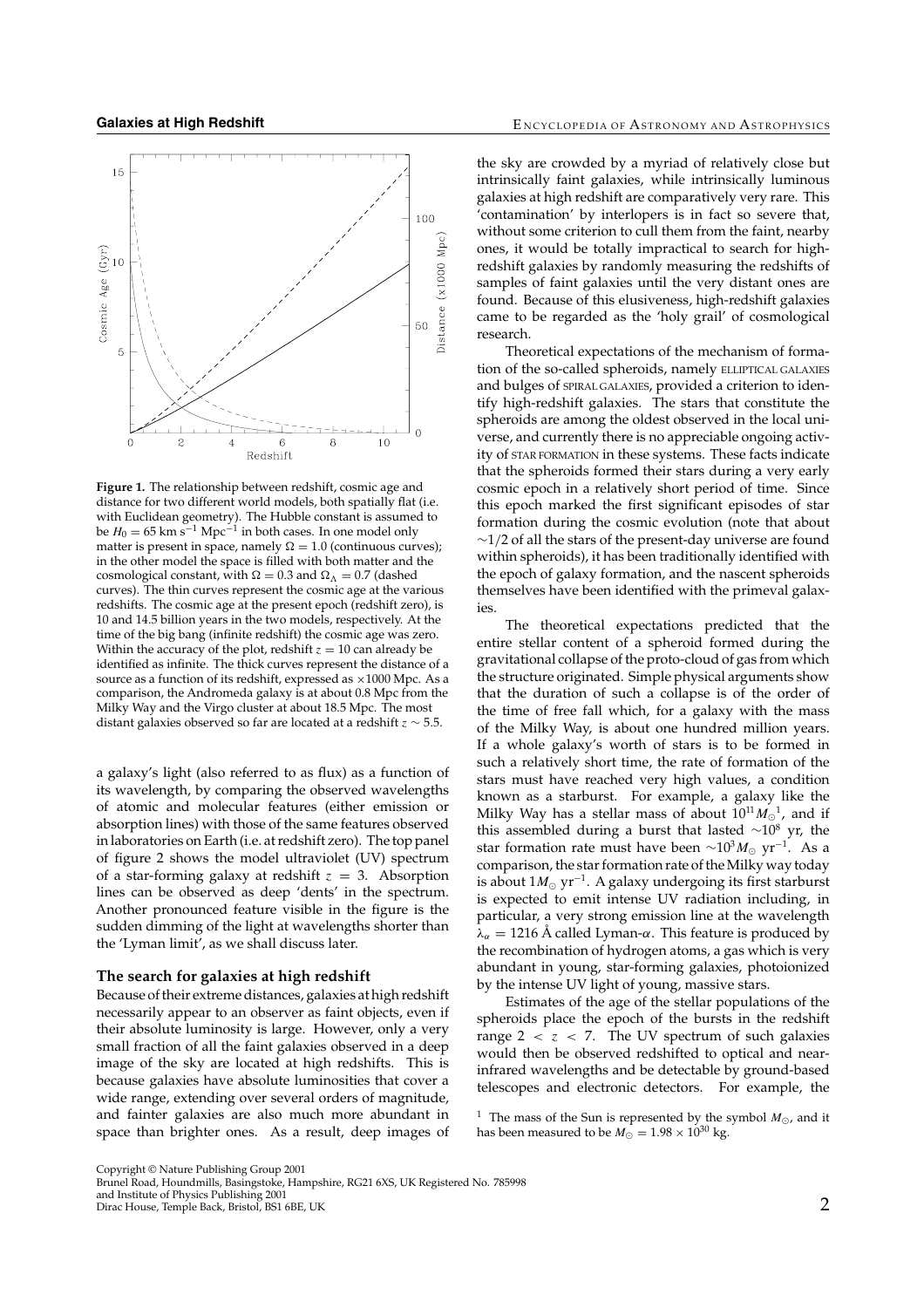

**Figure 1.** The relationship between redshift, cosmic age and distance for two different world models, both spatially flat (i.e. with Euclidean geometry). The Hubble constant is assumed to be  $H_0 = 65$  km s<sup>-1</sup> Mpc<sup>-1</sup> in both cases. In one model only matter is present in space, namely  $\Omega = 1.0$  (continuous curves); in the other model the space is filled with both matter and the cosmological constant, with  $\Omega = 0.3$  and  $\Omega_{\Lambda} = 0.7$  (dashed curves). The thin curves represent the cosmic age at the various redshifts. The cosmic age at the present epoch (redshift zero), is 10 and 14.5 billion years in the two models, respectively. At the time of the big bang (infinite redshift) the cosmic age was zero. Within the accuracy of the plot, redshift  $z = 10$  can already be identified as infinite. The thick curves represent the distance of a source as a function of its redshift, expressed as ×1000 Mpc. As a comparison, the Andromeda galaxy is at about 0.8 Mpc from the Milky Way and the Virgo cluster at about 18.5 Mpc. The most distant galaxies observed so far are located at a redshift  $z \sim 5.5$ .

a galaxy's light (also referred to as flux) as a function of its wavelength, by comparing the observed wavelengths of atomic and molecular features (either emission or absorption lines) with those of the same features observed in laboratories on Earth (i.e. at redshift zero). The top panel of figure 2 shows the model ultraviolet (UV) spectrum of a star-forming galaxy at redshift  $z = 3$ . Absorption lines can be observed as deep 'dents' in the spectrum. Another pronounced feature visible in the figure is the sudden dimming of the light at wavelengths shorter than the 'Lyman limit', as we shall discuss later.

#### **The search for galaxies at high redshift**

Because of their extreme distances, galaxies at high redshift necessarily appear to an observer as faint objects, even if their absolute luminosity is large. However, only a very small fraction of all the faint galaxies observed in a deep image of the sky are located at high redshifts. This is because galaxies have absolute luminosities that cover a wide range, extending over several orders of magnitude, and fainter galaxies are also much more abundant in space than brighter ones. As a result, deep images of the sky are crowded by a myriad of relatively close but intrinsically faint galaxies, while intrinsically luminous galaxies at high redshift are comparatively very rare. This 'contamination' by interlopers is in fact so severe that, without some criterion to cull them from the faint, nearby ones, it would be totally impractical to search for highredshift galaxies by randomly measuring the redshifts of samples of faint galaxies until the very distant ones are found. Because of this elusiveness, high-redshift galaxies came to be regarded as the 'holy grail' of cosmological research.

Theoretical expectations of the mechanism of formation of the so-called spheroids, namely ELLIPTICAL GALAXIES and bulges of SPIRAL GALAXIES, provided a criterion to identify high-redshift galaxies. The stars that constitute the spheroids are among the oldest observed in the local universe, and currently there is no appreciable ongoing activity of STAR FORMATION in these systems. These facts indicate that the spheroids formed their stars during a very early cosmic epoch in a relatively short period of time. Since this epoch marked the first significant episodes of star formation during the cosmic evolution (note that about  $\sim$ 1/2 of all the stars of the present-day universe are found within spheroids), it has been traditionally identified with the epoch of galaxy formation, and the nascent spheroids themselves have been identified with the primeval galaxies.

The theoretical expectations predicted that the entire stellar content of a spheroid formed during the gravitational collapse of the proto-cloud of gas from which the structure originated. Simple physical arguments show that the duration of such a collapse is of the order of the time of free fall which, for a galaxy with the mass of the Milky Way, is about one hundred million years. If a whole galaxy's worth of stars is to be formed in such a relatively short time, the rate of formation of the stars must have reached very high values, a condition known as a starburst. For example, a galaxy like the Milky Way has a stellar mass of about  $10^{11} M_{\odot}^{-1}$ , and if this assembled during a burst that lasted  $\sim$ 10<sup>8</sup> yr, the star formation rate must have been  $\sim 10^3 M_{\odot}$  yr<sup>-1</sup>. As a comparison, the star formation rate of the Milky way today is about  $1M_{\odot}$  yr<sup>-1</sup>. A galaxy undergoing its first starburst is expected to emit intense UV radiation including, in particular, a very strong emission line at the wavelength  $\lambda_{\alpha} = 1216$  Å called Lyman- $\alpha$ . This feature is produced by the recombination of hydrogen atoms, a gas which is very abundant in young, star-forming galaxies, photoionized by the intense UV light of young, massive stars.

Estimates of the age of the stellar populations of the spheroids place the epoch of the bursts in the redshift range  $2 < z < 7$ . The UV spectrum of such galaxies would then be observed redshifted to optical and nearinfrared wavelengths and be detectable by ground-based telescopes and electronic detectors. For example, the

<sup>1</sup> The mass of the Sun is represented by the symbol  $M_{\odot}$ , and it has been measured to be  $M_{\odot} = 1.98 \times 10^{30}$  kg.

Copyright © Nature Publishing Group 2001 Brunel Road, Houndmills, Basingstoke, Hampshire, RG21 6XS, UK Registered No. 785998

and Institute of Physics Publishing 2001 Dirac House, Temple Back, Bristol, BS1 6BE, UK 2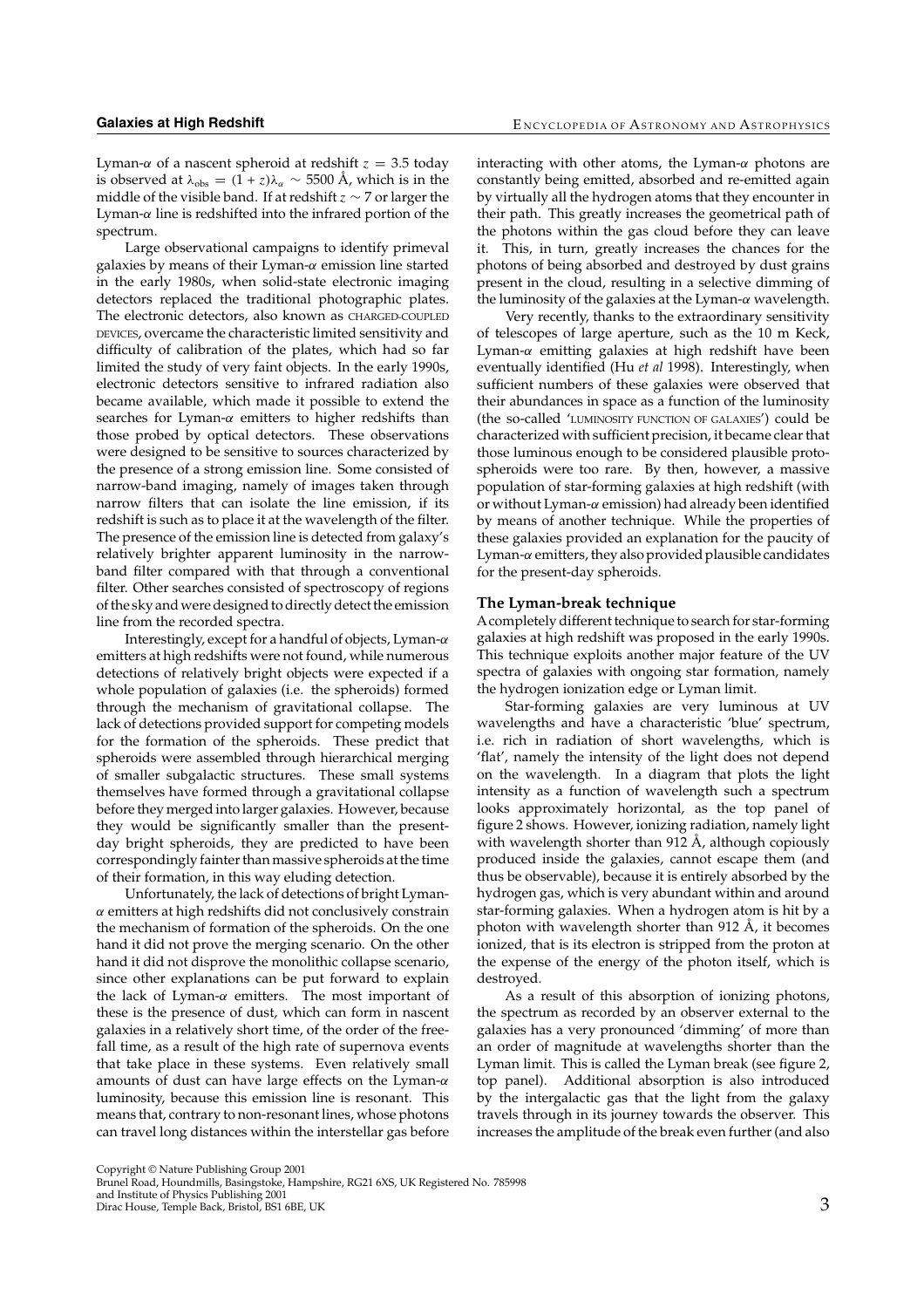Lyman- $\alpha$  of a nascent spheroid at redshift  $z = 3.5$  today is observed at  $\lambda_{obs} = (1 + z)\lambda_{\alpha} \sim 5500 \text{ Å}$ , which is in the middle of the visible band. If at redshift  $z \sim 7$  or larger the Lyman- $\alpha$  line is redshifted into the infrared portion of the spectrum.

Large observational campaigns to identify primeval galaxies by means of their Lyman-α emission line started in the early 1980s, when solid-state electronic imaging detectors replaced the traditional photographic plates. The electronic detectors, also known as CHARGED-COUPLED DEVICES, overcame the characteristic limited sensitivity and difficulty of calibration of the plates, which had so far limited the study of very faint objects. In the early 1990s, electronic detectors sensitive to infrared radiation also became available, which made it possible to extend the searches for Lyman- $\alpha$  emitters to higher redshifts than those probed by optical detectors. These observations were designed to be sensitive to sources characterized by the presence of a strong emission line. Some consisted of narrow-band imaging, namely of images taken through narrow filters that can isolate the line emission, if its redshift is such as to place it at the wavelength of the filter. The presence of the emission line is detected from galaxy's relatively brighter apparent luminosity in the narrowband filter compared with that through a conventional filter. Other searches consisted of spectroscopy of regions of the sky and were designed to directly detect the emission line from the recorded spectra.

Interestingly, except for a handful of objects, Lyman-α emitters at high redshifts were not found, while numerous detections of relatively bright objects were expected if a whole population of galaxies (i.e. the spheroids) formed through the mechanism of gravitational collapse. The lack of detections provided support for competing models for the formation of the spheroids. These predict that spheroids were assembled through hierarchical merging of smaller subgalactic structures. These small systems themselves have formed through a gravitational collapse before they merged into larger galaxies. However, because they would be significantly smaller than the presentday bright spheroids, they are predicted to have been correspondingly fainter than massive spheroids at the time of their formation, in this way eluding detection.

Unfortunately, the lack of detections of bright Lyman- $\alpha$  emitters at high redshifts did not conclusively constrain the mechanism of formation of the spheroids. On the one hand it did not prove the merging scenario. On the other hand it did not disprove the monolithic collapse scenario, since other explanations can be put forward to explain the lack of Lyman- $\alpha$  emitters. The most important of these is the presence of dust, which can form in nascent galaxies in a relatively short time, of the order of the freefall time, as a result of the high rate of supernova events that take place in these systems. Even relatively small amounts of dust can have large effects on the Lyman- $\alpha$ luminosity, because this emission line is resonant. This means that, contrary to non-resonant lines, whose photons can travel long distances within the interstellar gas before

interacting with other atoms, the Lyman- $\alpha$  photons are constantly being emitted, absorbed and re-emitted again by virtually all the hydrogen atoms that they encounter in their path. This greatly increases the geometrical path of the photons within the gas cloud before they can leave it. This, in turn, greatly increases the chances for the photons of being absorbed and destroyed by dust grains present in the cloud, resulting in a selective dimming of the luminosity of the galaxies at the Lyman-α wavelength.

Very recently, thanks to the extraordinary sensitivity of telescopes of large aperture, such as the 10 m Keck, Lyman- $\alpha$  emitting galaxies at high redshift have been eventually identified (Hu *et al* 1998). Interestingly, when sufficient numbers of these galaxies were observed that their abundances in space as a function of the luminosity (the so-called 'LUMINOSITY FUNCTION OF GALAXIES') could be characterized with sufficient precision, it became clear that those luminous enough to be considered plausible protospheroids were too rare. By then, however, a massive population of star-forming galaxies at high redshift (with or without Lyman-α emission) had already been identified by means of another technique. While the properties of these galaxies provided an explanation for the paucity of Lyman- $\alpha$  emitters, they also provided plausible candidates for the present-day spheroids.

### **The Lyman-break technique**

Acompletely different technique to search for star-forming galaxies at high redshift was proposed in the early 1990s. This technique exploits another major feature of the UV spectra of galaxies with ongoing star formation, namely the hydrogen ionization edge or Lyman limit.

Star-forming galaxies are very luminous at UV wavelengths and have a characteristic 'blue' spectrum, i.e. rich in radiation of short wavelengths, which is 'flat', namely the intensity of the light does not depend on the wavelength. In a diagram that plots the light intensity as a function of wavelength such a spectrum looks approximately horizontal, as the top panel of figure 2 shows. However, ionizing radiation, namely light with wavelength shorter than 912 Å, although copiously produced inside the galaxies, cannot escape them (and thus be observable), because it is entirely absorbed by the hydrogen gas, which is very abundant within and around star-forming galaxies. When a hydrogen atom is hit by a photon with wavelength shorter than 912 Å, it becomes ionized, that is its electron is stripped from the proton at the expense of the energy of the photon itself, which is destroyed.

As a result of this absorption of ionizing photons, the spectrum as recorded by an observer external to the galaxies has a very pronounced 'dimming' of more than an order of magnitude at wavelengths shorter than the Lyman limit. This is called the Lyman break (see figure 2, top panel). Additional absorption is also introduced by the intergalactic gas that the light from the galaxy travels through in its journey towards the observer. This increases the amplitude of the break even further (and also

Copyright © Nature Publishing Group 2001 Brunel Road, Houndmills, Basingstoke, Hampshire, RG21 6XS, UK Registered No. 785998

and Institute of Physics Publishing 2001 direction of the Secondary Control of the Secondary Secondary Secondary Secondary Secondary Secondary Secondary S<br>3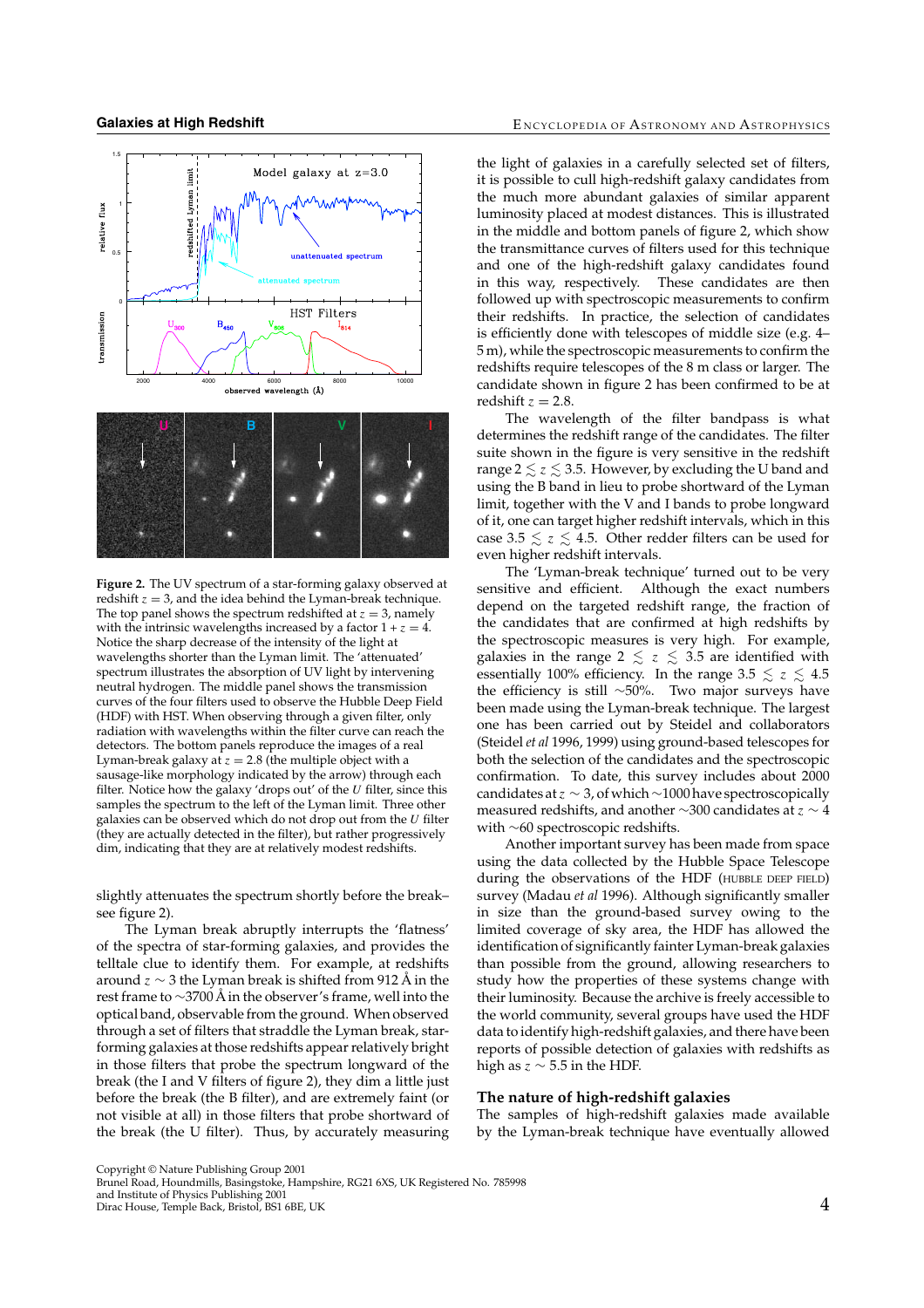

**Figure 2.** The UV spectrum of a star-forming galaxy observed at redshift  $z = 3$ , and the idea behind the Lyman-break technique. The top panel shows the spectrum redshifted at  $z = 3$ , namely with the intrinsic wavelengths increased by a factor  $1 + z = 4$ . Notice the sharp decrease of the intensity of the light at wavelengths shorter than the Lyman limit. The 'attenuated' spectrum illustrates the absorption of UV light by intervening neutral hydrogen. The middle panel shows the transmission curves of the four filters used to observe the Hubble Deep Field (HDF) with HST. When observing through a given filter, only radiation with wavelengths within the filter curve can reach the detectors. The bottom panels reproduce the images of a real Lyman-break galaxy at  $z = 2.8$  (the multiple object with a sausage-like morphology indicated by the arrow) through each filter. Notice how the galaxy 'drops out' of the  $U$  filter, since this samples the spectrum to the left of the Lyman limit. Three other galaxies can be observed which do not drop out from the  $U$  filter (they are actually detected in the filter), but rather progressively dim, indicating that they are at relatively modest redshifts.

slightly attenuates the spectrum shortly before the break– see figure 2).

The Lyman break abruptly interrupts the 'flatness' of the spectra of star-forming galaxies, and provides the telltale clue to identify them. For example, at redshifts around  $z \sim 3$  the Lyman break is shifted from 912 Å in the rest frame to ∼3700 Å in the observer's frame, well into the optical band, observable from the ground. When observed through a set of filters that straddle the Lyman break, starforming galaxies at those redshifts appear relatively bright in those filters that probe the spectrum longward of the break (the I and V filters of figure 2), they dim a little just before the break (the B filter), and are extremely faint (or not visible at all) in those filters that probe shortward of the break (the U filter). Thus, by accurately measuring the light of galaxies in a carefully selected set of filters, it is possible to cull high-redshift galaxy candidates from the much more abundant galaxies of similar apparent luminosity placed at modest distances. This is illustrated in the middle and bottom panels of figure 2, which show the transmittance curves of filters used for this technique and one of the high-redshift galaxy candidates found in this way, respectively. These candidates are then followed up with spectroscopic measurements to confirm their redshifts. In practice, the selection of candidates is efficiently done with telescopes of middle size (e.g. 4– 5 m), while the spectroscopic measurements to confirm the redshifts require telescopes of the 8 m class or larger. The candidate shown in figure 2 has been confirmed to be at redshift  $z = 2.8$ .

The wavelength of the filter bandpass is what determines the redshift range of the candidates. The filter suite shown in the figure is very sensitive in the redshift range  $2 \le z \le 3.5$ . However, by excluding the U band and using the B band in lieu to probe shortward of the Lyman limit, together with the V and I bands to probe longward of it, one can target higher redshift intervals, which in this case 3.5  $\le z \le 4.5$ . Other redder filters can be used for even higher redshift intervals.

The 'Lyman-break technique' turned out to be very sensitive and efficient. Although the exact numbers depend on the targeted redshift range, the fraction of the candidates that are confirmed at high redshifts by the spectroscopic measures is very high. For example, galaxies in the range 2  $\le z \le 3.5$  are identified with essentially 100% efficiency. In the range 3.5  $\le z \le 4.5$ the efficiency is still ∼50%. Two major surveys have been made using the Lyman-break technique. The largest one has been carried out by Steidel and collaborators (Steidel *et al* 1996, 1999) using ground-based telescopes for both the selection of the candidates and the spectroscopic confirmation. To date, this survey includes about 2000 candidates at  $z \sim 3$ , of which ~1000 have spectroscopically measured redshifts, and another  $\sim$ 300 candidates at  $z \sim 4$ with ∼60 spectroscopic redshifts.

Another important survey has been made from space using the data collected by the Hubble Space Telescope during the observations of the HDF (HUBBLE DEEP FIELD) survey (Madau *et al* 1996). Although significantly smaller in size than the ground-based survey owing to the limited coverage of sky area, the HDF has allowed the identification of significantly fainter Lyman-break galaxies than possible from the ground, allowing researchers to study how the properties of these systems change with their luminosity. Because the archive is freely accessible to the world community, several groups have used the HDF data to identify high-redshift galaxies, and there have been reports of possible detection of galaxies with redshifts as high as  $z \sim 5.5$  in the HDF.

# **The nature of high-redshift galaxies**

The samples of high-redshift galaxies made available by the Lyman-break technique have eventually allowed

Copyright © Nature Publishing Group 2001 Brunel Road, Houndmills, Basingstoke, Hampshire, RG21 6XS, UK Registered No. 785998

and Institute of Physics Publishing 2001 Dirac House, Temple Back, Bristol, BS1 6BE, UK 4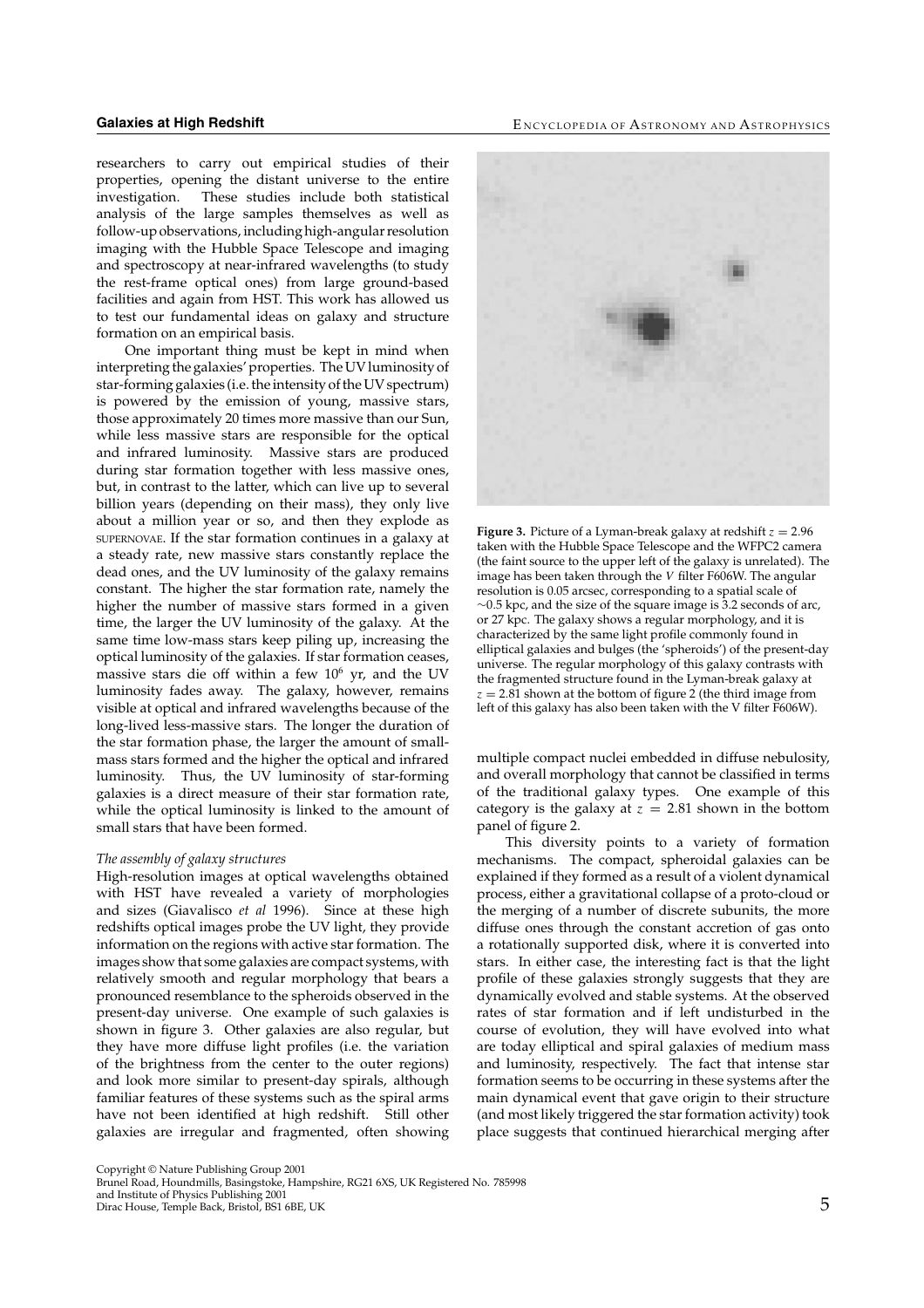**Galaxies at High Redshift** E Network Bureau Association Bureau Bureau Bureau Bureau Bureau Bureau Bureau Bureau B

researchers to carry out empirical studies of their properties, opening the distant universe to the entire investigation. These studies include both statistical analysis of the large samples themselves as well as follow-up observations, including high-angular resolution imaging with the Hubble Space Telescope and imaging and spectroscopy at near-infrared wavelengths (to study the rest-frame optical ones) from large ground-based facilities and again from HST. This work has allowed us to test our fundamental ideas on galaxy and structure formation on an empirical basis.

One important thing must be kept in mind when interpreting the galaxies' properties. The UV luminosity of star-forming galaxies (i.e. the intensity of the UV spectrum) is powered by the emission of young, massive stars, those approximately 20 times more massive than our Sun, while less massive stars are responsible for the optical and infrared luminosity. Massive stars are produced during star formation together with less massive ones, but, in contrast to the latter, which can live up to several billion years (depending on their mass), they only live about a million year or so, and then they explode as SUPERNOVAE. If the star formation continues in a galaxy at a steady rate, new massive stars constantly replace the dead ones, and the UV luminosity of the galaxy remains constant. The higher the star formation rate, namely the higher the number of massive stars formed in a given time, the larger the UV luminosity of the galaxy. At the same time low-mass stars keep piling up, increasing the optical luminosity of the galaxies. If star formation ceases, massive stars die off within a few  $10^6$  yr, and the UV luminosity fades away. The galaxy, however, remains visible at optical and infrared wavelengths because of the long-lived less-massive stars. The longer the duration of the star formation phase, the larger the amount of smallmass stars formed and the higher the optical and infrared luminosity. Thus, the UV luminosity of star-forming galaxies is a direct measure of their star formation rate, while the optical luminosity is linked to the amount of small stars that have been formed.

#### *The assembly of galaxy structures*

High-resolution images at optical wavelengths obtained with HST have revealed a variety of morphologies and sizes (Giavalisco *et al* 1996). Since at these high redshifts optical images probe the UV light, they provide information on the regions with active star formation. The images show that some galaxies are compact systems, with relatively smooth and regular morphology that bears a pronounced resemblance to the spheroids observed in the present-day universe. One example of such galaxies is shown in figure 3. Other galaxies are also regular, but they have more diffuse light profiles (i.e. the variation of the brightness from the center to the outer regions) and look more similar to present-day spirals, although familiar features of these systems such as the spiral arms have not been identified at high redshift. Still other galaxies are irregular and fragmented, often showing



**Figure 3.** Picture of a Lyman-break galaxy at redshift  $z = 2.96$ taken with the Hubble Space Telescope and the WFPC2 camera (the faint source to the upper left of the galaxy is unrelated). The image has been taken through the V filter F606W. The angular resolution is 0.05 arcsec, corresponding to a spatial scale of ∼0.5 kpc, and the size of the square image is 3.2 seconds of arc, or 27 kpc. The galaxy shows a regular morphology, and it is characterized by the same light profile commonly found in elliptical galaxies and bulges (the 'spheroids') of the present-day universe. The regular morphology of this galaxy contrasts with the fragmented structure found in the Lyman-break galaxy at  $z = 2.81$  shown at the bottom of figure 2 (the third image from left of this galaxy has also been taken with the V filter F606W).

multiple compact nuclei embedded in diffuse nebulosity, and overall morphology that cannot be classified in terms of the traditional galaxy types. One example of this category is the galaxy at  $z = 2.81$  shown in the bottom panel of figure 2.

This diversity points to a variety of formation mechanisms. The compact, spheroidal galaxies can be explained if they formed as a result of a violent dynamical process, either a gravitational collapse of a proto-cloud or the merging of a number of discrete subunits, the more diffuse ones through the constant accretion of gas onto a rotationally supported disk, where it is converted into stars. In either case, the interesting fact is that the light profile of these galaxies strongly suggests that they are dynamically evolved and stable systems. At the observed rates of star formation and if left undisturbed in the course of evolution, they will have evolved into what are today elliptical and spiral galaxies of medium mass and luminosity, respectively. The fact that intense star formation seems to be occurring in these systems after the main dynamical event that gave origin to their structure (and most likely triggered the star formation activity) took place suggests that continued hierarchical merging after

Copyright © Nature Publishing Group 2001 Brunel Road, Houndmills, Basingstoke, Hampshire, RG21 6XS, UK Registered No. 785998

and Institute of Physics Publishing 2001 direction of the Back, Bristol, BS1 6BE, UK 5 and the UK 5 and the UK 5 and the UK 5 binac House, Temple Back, Bristol, BS1 6BE, UK 5 and the UK 5 and the UK 5 and the UK 5 and the UK 6 and the UK 6 and the UK 6 and the UK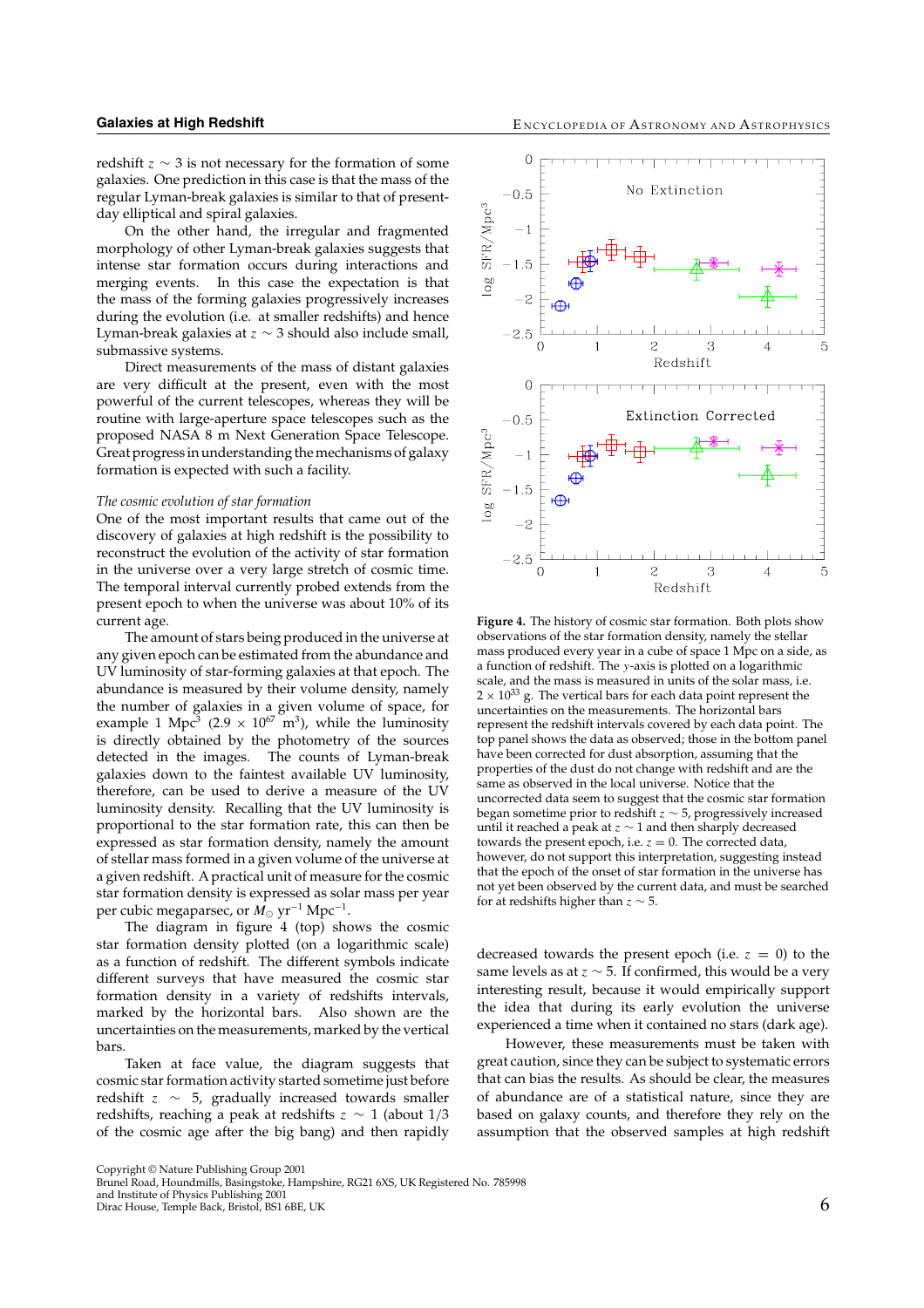redshift  $z \sim 3$  is not necessary for the formation of some galaxies. One prediction in this case is that the mass of the regular Lyman-break galaxies is similar to that of presentday elliptical and spiral galaxies.

On the other hand, the irregular and fragmented morphology of other Lyman-break galaxies suggests that intense star formation occurs during interactions and merging events. In this case the expectation is that the mass of the forming galaxies progressively increases during the evolution (i.e. at smaller redshifts) and hence Lyman-break galaxies at  $z \sim 3$  should also include small, submassive systems.

Direct measurements of the mass of distant galaxies are very difficult at the present, even with the most powerful of the current telescopes, whereas they will be routine with large-aperture space telescopes such as the proposed NASA 8 m Next Generation Space Telescope. Great progress in understanding the mechanisms of galaxy formation is expected with such a facility.

#### *The cosmic evolution of star formation*

One of the most important results that came out of the discovery of galaxies at high redshift is the possibility to reconstruct the evolution of the activity of star formation in the universe over a very large stretch of cosmic time. The temporal interval currently probed extends from the present epoch to when the universe was about 10% of its current age.

The amount of stars being produced in the universe at any given epoch can be estimated from the abundance and UV luminosity of star-forming galaxies at that epoch. The abundance is measured by their volume density, namely the number of galaxies in a given volume of space, for example 1 Mpc<sup>3</sup> (2.9  $\times$  10<sup>67</sup> m<sup>3</sup>), while the luminosity is directly obtained by the photometry of the sources detected in the images. The counts of Lyman-break galaxies down to the faintest available UV luminosity, therefore, can be used to derive a measure of the UV luminosity density. Recalling that the UV luminosity is proportional to the star formation rate, this can then be expressed as star formation density, namely the amount of stellar mass formed in a given volume of the universe at a given redshift. A practical unit of measure for the cosmic star formation density is expressed as solar mass per year per cubic megaparsec, or  $M_{\odot}$  yr<sup>-1</sup> Mpc<sup>-1</sup>.

The diagram in figure 4 (top) shows the cosmic star formation density plotted (on a logarithmic scale) as a function of redshift. The different symbols indicate different surveys that have measured the cosmic star formation density in a variety of redshifts intervals, marked by the horizontal bars. Also shown are the uncertainties on the measurements, marked by the vertical bars.

Taken at face value, the diagram suggests that cosmic star formation activity started sometime just before redshift  $z \sim 5$ , gradually increased towards smaller redshifts, reaching a peak at redshifts  $z \sim 1$  (about 1/3 of the cosmic age after the big bang) and then rapidly



**Figure 4.** The history of cosmic star formation. Both plots show observations of the star formation density, namely the stellar mass produced every year in a cube of space 1 Mpc on a side, as a function of redshift. The y-axis is plotted on a logarithmic scale, and the mass is measured in units of the solar mass, i.e.  $2\times 10^{33}$  g. The vertical bars for each data point represent the uncertainties on the measurements. The horizontal bars represent the redshift intervals covered by each data point. The top panel shows the data as observed; those in the bottom panel have been corrected for dust absorption, assuming that the properties of the dust do not change with redshift and are the same as observed in the local universe. Notice that the uncorrected data seem to suggest that the cosmic star formation began sometime prior to redshift  $z \sim 5$ , progressively increased until it reached a peak at  $z \sim 1$  and then sharply decreased towards the present epoch, i.e.  $z = 0$ . The corrected data, however, do not support this interpretation, suggesting instead that the epoch of the onset of star formation in the universe has not yet been observed by the current data, and must be searched for at redshifts higher than  $z \sim 5$ .

decreased towards the present epoch (i.e.  $z = 0$ ) to the same levels as at  $z \sim 5$ . If confirmed, this would be a very interesting result, because it would empirically support the idea that during its early evolution the universe experienced a time when it contained no stars (dark age).

However, these measurements must be taken with great caution, since they can be subject to systematic errors that can bias the results. As should be clear, the measures of abundance are of a statistical nature, since they are based on galaxy counts, and therefore they rely on the assumption that the observed samples at high redshift

Copyright © Nature Publishing Group 2001 Brunel Road, Houndmills, Basingstoke, Hampshire, RG21 6XS, UK Registered No. 785998

and Institute of Physics Publishing 2001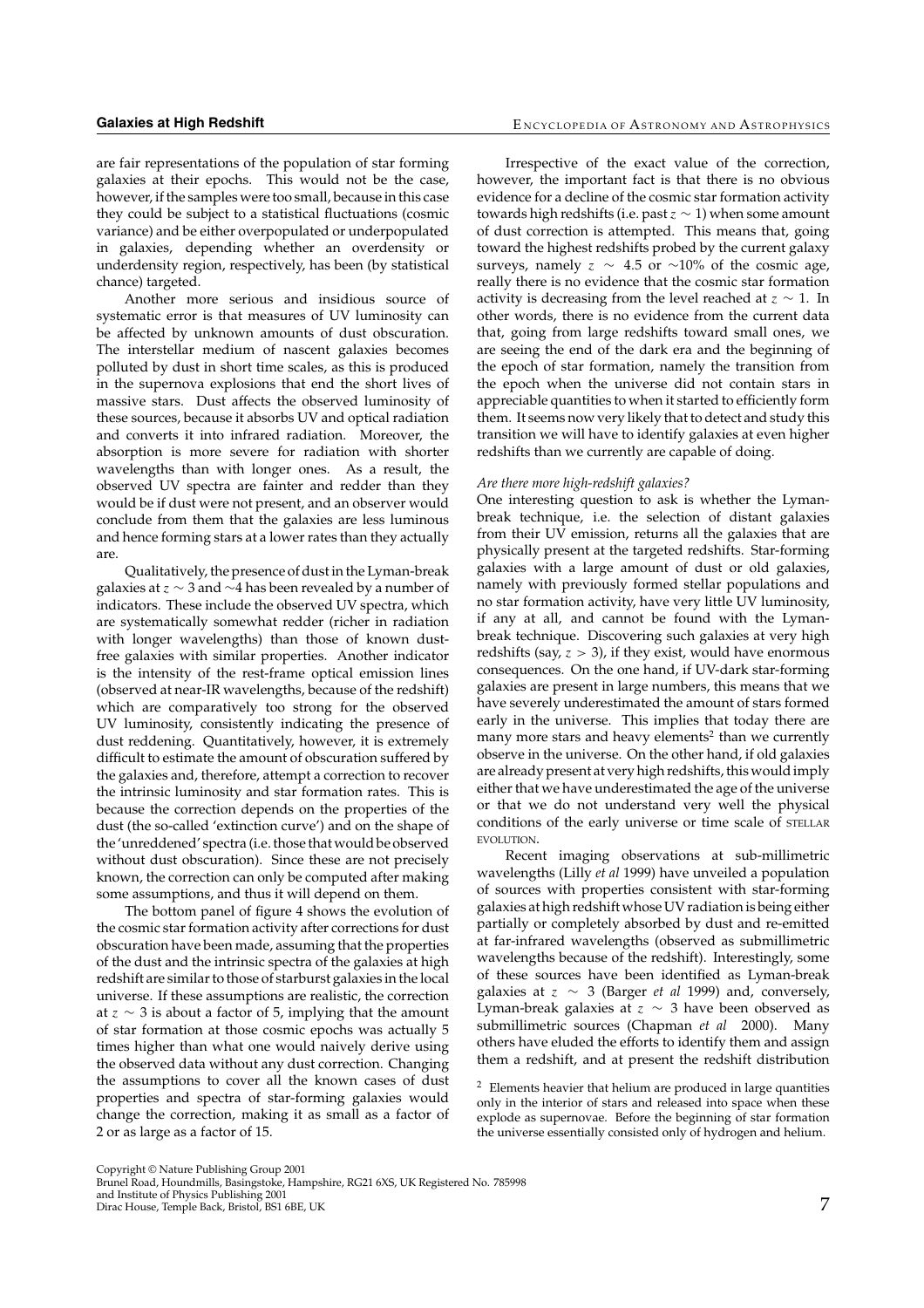are fair representations of the population of star forming galaxies at their epochs. This would not be the case, however, if the samples were too small, because in this case they could be subject to a statistical fluctuations (cosmic variance) and be either overpopulated or underpopulated in galaxies, depending whether an overdensity or underdensity region, respectively, has been (by statistical chance) targeted.

Another more serious and insidious source of systematic error is that measures of UV luminosity can be affected by unknown amounts of dust obscuration. The interstellar medium of nascent galaxies becomes polluted by dust in short time scales, as this is produced in the supernova explosions that end the short lives of massive stars. Dust affects the observed luminosity of these sources, because it absorbs UV and optical radiation and converts it into infrared radiation. Moreover, the absorption is more severe for radiation with shorter wavelengths than with longer ones. As a result, the observed UV spectra are fainter and redder than they would be if dust were not present, and an observer would conclude from them that the galaxies are less luminous and hence forming stars at a lower rates than they actually are.

Qualitatively, the presence of dust in the Lyman-break galaxies at  $z \sim 3$  and  $\sim$ 4 has been revealed by a number of indicators. These include the observed UV spectra, which are systematically somewhat redder (richer in radiation with longer wavelengths) than those of known dustfree galaxies with similar properties. Another indicator is the intensity of the rest-frame optical emission lines (observed at near-IR wavelengths, because of the redshift) which are comparatively too strong for the observed UV luminosity, consistently indicating the presence of dust reddening. Quantitatively, however, it is extremely difficult to estimate the amount of obscuration suffered by the galaxies and, therefore, attempt a correction to recover the intrinsic luminosity and star formation rates. This is because the correction depends on the properties of the dust (the so-called 'extinction curve') and on the shape of the 'unreddened' spectra (i.e. those that would be observed without dust obscuration). Since these are not precisely known, the correction can only be computed after making some assumptions, and thus it will depend on them.

The bottom panel of figure 4 shows the evolution of the cosmic star formation activity after corrections for dust obscuration have been made, assuming that the properties of the dust and the intrinsic spectra of the galaxies at high redshift are similar to those of starburst galaxies in the local universe. If these assumptions are realistic, the correction at  $z \sim 3$  is about a factor of 5, implying that the amount of star formation at those cosmic epochs was actually 5 times higher than what one would naively derive using the observed data without any dust correction. Changing the assumptions to cover all the known cases of dust properties and spectra of star-forming galaxies would change the correction, making it as small as a factor of 2 or as large as a factor of 15.

Irrespective of the exact value of the correction, however, the important fact is that there is no obvious evidence for a decline of the cosmic star formation activity towards high redshifts (i.e. past  $z \sim 1$ ) when some amount of dust correction is attempted. This means that, going toward the highest redshifts probed by the current galaxy surveys, namely  $z \sim 4.5$  or ∼10% of the cosmic age, really there is no evidence that the cosmic star formation activity is decreasing from the level reached at  $z \sim 1$ . In other words, there is no evidence from the current data that, going from large redshifts toward small ones, we are seeing the end of the dark era and the beginning of the epoch of star formation, namely the transition from the epoch when the universe did not contain stars in appreciable quantities to when it started to efficiently form them. It seems now very likely that to detect and study this transition we will have to identify galaxies at even higher redshifts than we currently are capable of doing.

#### *Are there more high-redshift galaxies?*

One interesting question to ask is whether the Lymanbreak technique, i.e. the selection of distant galaxies from their UV emission, returns all the galaxies that are physically present at the targeted redshifts. Star-forming galaxies with a large amount of dust or old galaxies, namely with previously formed stellar populations and no star formation activity, have very little UV luminosity, if any at all, and cannot be found with the Lymanbreak technique. Discovering such galaxies at very high redshifts (say,  $z > 3$ ), if they exist, would have enormous consequences. On the one hand, if UV-dark star-forming galaxies are present in large numbers, this means that we have severely underestimated the amount of stars formed early in the universe. This implies that today there are many more stars and heavy elements<sup>2</sup> than we currently observe in the universe. On the other hand, if old galaxies are already present at very high redshifts, this would imply either that we have underestimated the age of the universe or that we do not understand very well the physical conditions of the early universe or time scale of STELLAR EVOLUTION.

Recent imaging observations at sub-millimetric wavelengths (Lilly *et al* 1999) have unveiled a population of sources with properties consistent with star-forming galaxies at high redshift whose UV radiation is being either partially or completely absorbed by dust and re-emitted at far-infrared wavelengths (observed as submillimetric wavelengths because of the redshift). Interestingly, some of these sources have been identified as Lyman-break galaxies at z ∼ 3 (Barger *et al* 1999) and, conversely, Lyman-break galaxies at  $z \sim 3$  have been observed as submillimetric sources (Chapman *et al* 2000). Many others have eluded the efforts to identify them and assign them a redshift, and at present the redshift distribution

 $2$  Elements heavier that helium are produced in large quantities only in the interior of stars and released into space when these explode as supernovae. Before the beginning of star formation the universe essentially consisted only of hydrogen and helium.

Copyright © Nature Publishing Group 2001 Brunel Road, Houndmills, Basingstoke, Hampshire, RG21 6XS, UK Registered No. 785998

and Institute of Physics Publishing 2001 Dirac House, Temple Back, Bristol, BS1 6BE, UK 7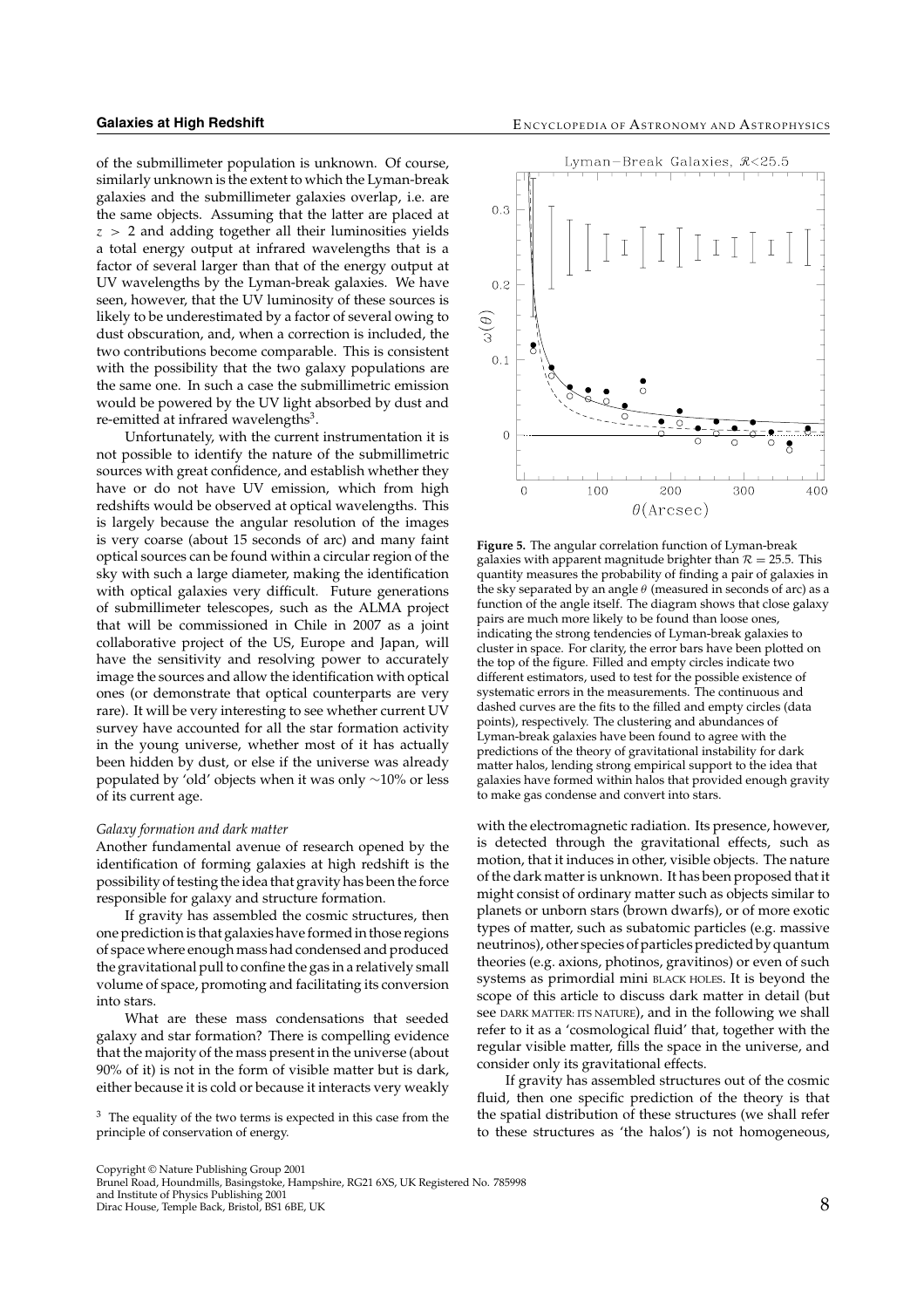of the submillimeter population is unknown. Of course, similarly unknown is the extent to which the Lyman-break galaxies and the submillimeter galaxies overlap, i.e. are the same objects. Assuming that the latter are placed at  $z > 2$  and adding together all their luminosities yields a total energy output at infrared wavelengths that is a factor of several larger than that of the energy output at UV wavelengths by the Lyman-break galaxies. We have seen, however, that the UV luminosity of these sources is likely to be underestimated by a factor of several owing to dust obscuration, and, when a correction is included, the two contributions become comparable. This is consistent with the possibility that the two galaxy populations are the same one. In such a case the submillimetric emission would be powered by the UV light absorbed by dust and re-emitted at infrared wavelengths<sup>3</sup>.

Unfortunately, with the current instrumentation it is not possible to identify the nature of the submillimetric sources with great confidence, and establish whether they have or do not have UV emission, which from high redshifts would be observed at optical wavelengths. This is largely because the angular resolution of the images is very coarse (about 15 seconds of arc) and many faint optical sources can be found within a circular region of the sky with such a large diameter, making the identification with optical galaxies very difficult. Future generations of submillimeter telescopes, such as the ALMA project that will be commissioned in Chile in 2007 as a joint collaborative project of the US, Europe and Japan, will have the sensitivity and resolving power to accurately image the sources and allow the identification with optical ones (or demonstrate that optical counterparts are very rare). It will be very interesting to see whether current UV survey have accounted for all the star formation activity in the young universe, whether most of it has actually been hidden by dust, or else if the universe was already populated by 'old' objects when it was only ∼10% or less of its current age.

#### *Galaxy formation and dark matter*

Another fundamental avenue of research opened by the identification of forming galaxies at high redshift is the possibility of testing the idea that gravity has been the force responsible for galaxy and structure formation.

If gravity has assembled the cosmic structures, then one prediction is that galaxies have formed in those regions of space where enough mass had condensed and produced the gravitational pull to confine the gas in a relatively small volume of space, promoting and facilitating its conversion into stars.

What are these mass condensations that seeded galaxy and star formation? There is compelling evidence that the majority of the mass present in the universe (about 90% of it) is not in the form of visible matter but is dark, either because it is cold or because it interacts very weakly

<sup>3</sup> The equality of the two terms is expected in this case from the principle of conservation of energy.



**Figure 5.** The angular correlation function of Lyman-break galaxies with apparent magnitude brighter than  $\mathcal{R} = 25.5$ . This quantity measures the probability of finding a pair of galaxies in the sky separated by an angle  $\theta$  (measured in seconds of arc) as a function of the angle itself. The diagram shows that close galaxy pairs are much more likely to be found than loose ones, indicating the strong tendencies of Lyman-break galaxies to cluster in space. For clarity, the error bars have been plotted on the top of the figure. Filled and empty circles indicate two different estimators, used to test for the possible existence of systematic errors in the measurements. The continuous and dashed curves are the fits to the filled and empty circles (data points), respectively. The clustering and abundances of Lyman-break galaxies have been found to agree with the predictions of the theory of gravitational instability for dark matter halos, lending strong empirical support to the idea that galaxies have formed within halos that provided enough gravity to make gas condense and convert into stars.

with the electromagnetic radiation. Its presence, however, is detected through the gravitational effects, such as motion, that it induces in other, visible objects. The nature of the dark matter is unknown. It has been proposed that it might consist of ordinary matter such as objects similar to planets or unborn stars (brown dwarfs), or of more exotic types of matter, such as subatomic particles (e.g. massive neutrinos), other species of particles predicted by quantum theories (e.g. axions, photinos, gravitinos) or even of such systems as primordial mini BLACK HOLES. It is beyond the scope of this article to discuss dark matter in detail (but see DARK MATTER: ITS NATURE), and in the following we shall refer to it as a 'cosmological fluid' that, together with the regular visible matter, fills the space in the universe, and consider only its gravitational effects.

If gravity has assembled structures out of the cosmic fluid, then one specific prediction of the theory is that the spatial distribution of these structures (we shall refer to these structures as 'the halos') is not homogeneous,

and Institute of Physics Publishing 2001 Dirac House, Temple Back, Bristol, BS1 6BE, UK 8

Copyright © Nature Publishing Group 2001 Brunel Road, Houndmills, Basingstoke, Hampshire, RG21 6XS, UK Registered No. 785998